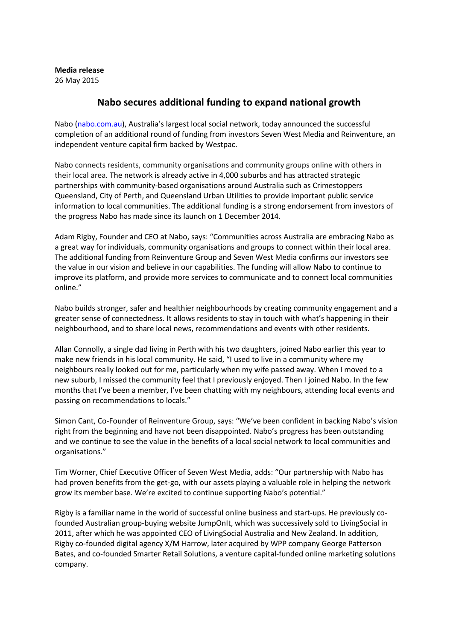**Media release** 26 May 2015

# **Nabo secures additional funding to expand national growth**

Nabo [\(nabo.com.au](https://www.nabo.com.au/)), Australia's largest local social network, today announced the successful completion of an additional round of funding from investors Seven West Media and Reinventure, an independent venture capital firm backed by Westpac.

Nabo connects residents, community organisations and community groups online with others in their local area. The network is already active in 4,000 suburbs and has attracted strategic partnerships with community-based organisations around Australia such as Crimestoppers Queensland, City of Perth, and Queensland Urban Utilities to provide important public service information to local communities. The additional funding is a strong endorsement from investors of the progress Nabo has made since its launch on 1 December 2014.

Adam Rigby, Founder and CEO at Nabo, says: "Communities across Australia are embracing Nabo as a great way for individuals, community organisations and groups to connect within their local area. The additional funding from Reinventure Group and Seven West Media confirms our investors see the value in our vision and believe in our capabilities. The funding will allow Nabo to continue to improve its platform, and provide more services to communicate and to connect local communities online."

Nabo builds stronger, safer and healthier neighbourhoods by creating community engagement and a greater sense of connectedness. It allows residents to stay in touch with what's happening in their neighbourhood, and to share local news, recommendations and events with other residents.

Allan Connolly, a single dad living in Perth with his two daughters, joined Nabo earlier this year to make new friends in his local community. He said, "I used to live in a community where my neighbours really looked out for me, particularly when my wife passed away. When I moved to a new suburb, I missed the community feel that I previously enjoyed. Then I joined Nabo. In the few months that I've been a member, I've been chatting with my neighbours, attending local events and passing on recommendations to locals."

Simon Cant, Co-Founder of Reinventure Group, says: "We've been confident in backing Nabo's vision right from the beginning and have not been disappointed. Nabo's progress has been outstanding and we continue to see the value in the benefits of a local social network to local communities and organisations."

Tim Worner, Chief Executive Officer of Seven West Media, adds: "Our partnership with Nabo has had proven benefits from the get-go, with our assets playing a valuable role in helping the network grow its member base. We're excited to continue supporting Nabo's potential."

Rigby is a familiar name in the world of successful online business and start-ups. He previously cofounded Australian group-buying website JumpOnIt, which was successively sold to LivingSocial in 2011, after which he was appointed CEO of LivingSocial Australia and New Zealand. In addition, Rigby co-founded digital agency X/M Harrow, later acquired by WPP company George Patterson Bates, and co-founded Smarter Retail Solutions, a venture capital-funded online marketing solutions company.